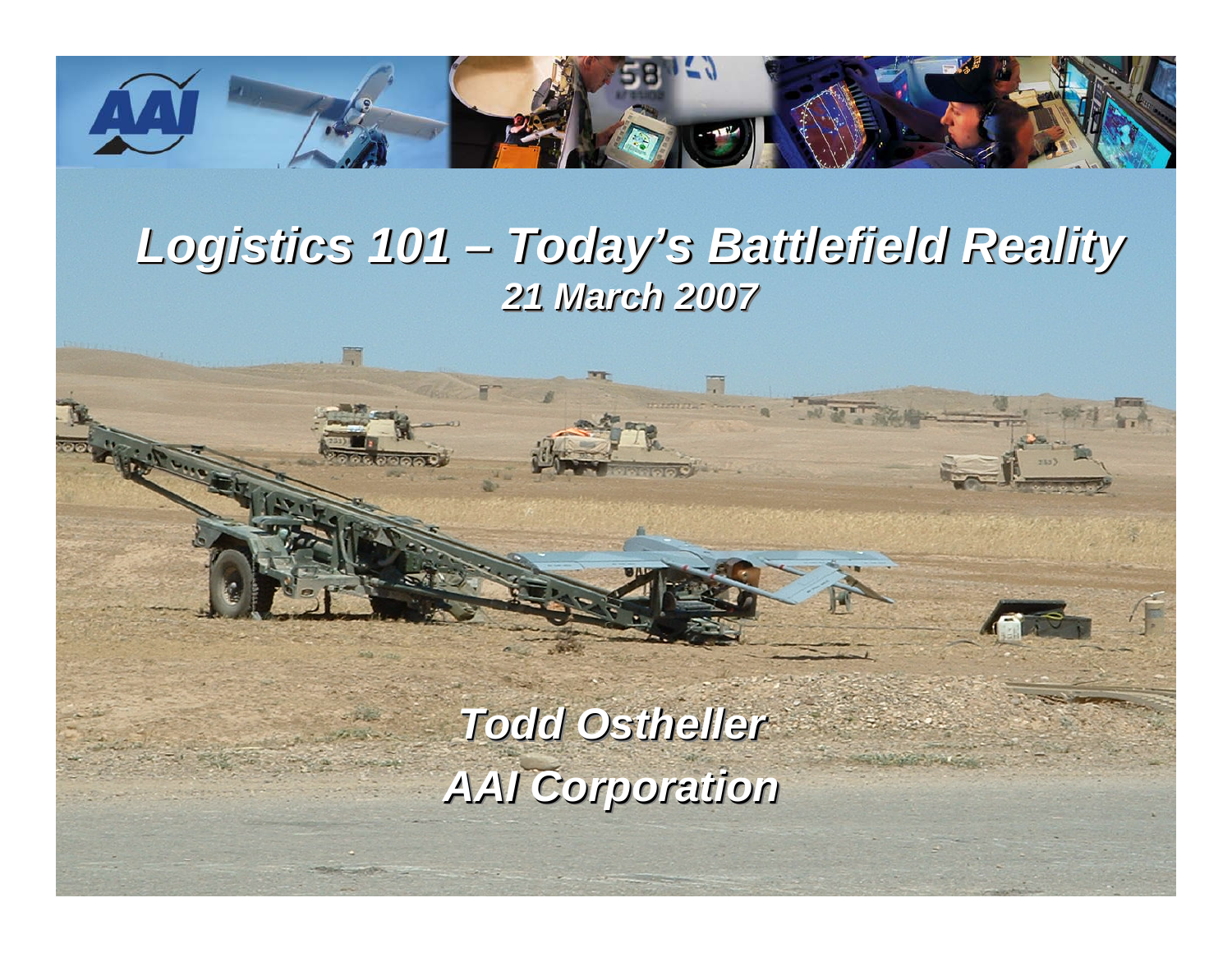

#### *Logistics 101 – Today's Battlefield Reality Logistics 101 Logistics 101 21 March 2007 21 March 2007 21 March 2007 –Today's Battlefield Reality Today's Battlefield Reality*

*Todd Ostheller Todd Ostheller Ostheller AAI Corporation AAI Corporation AAI Corporation*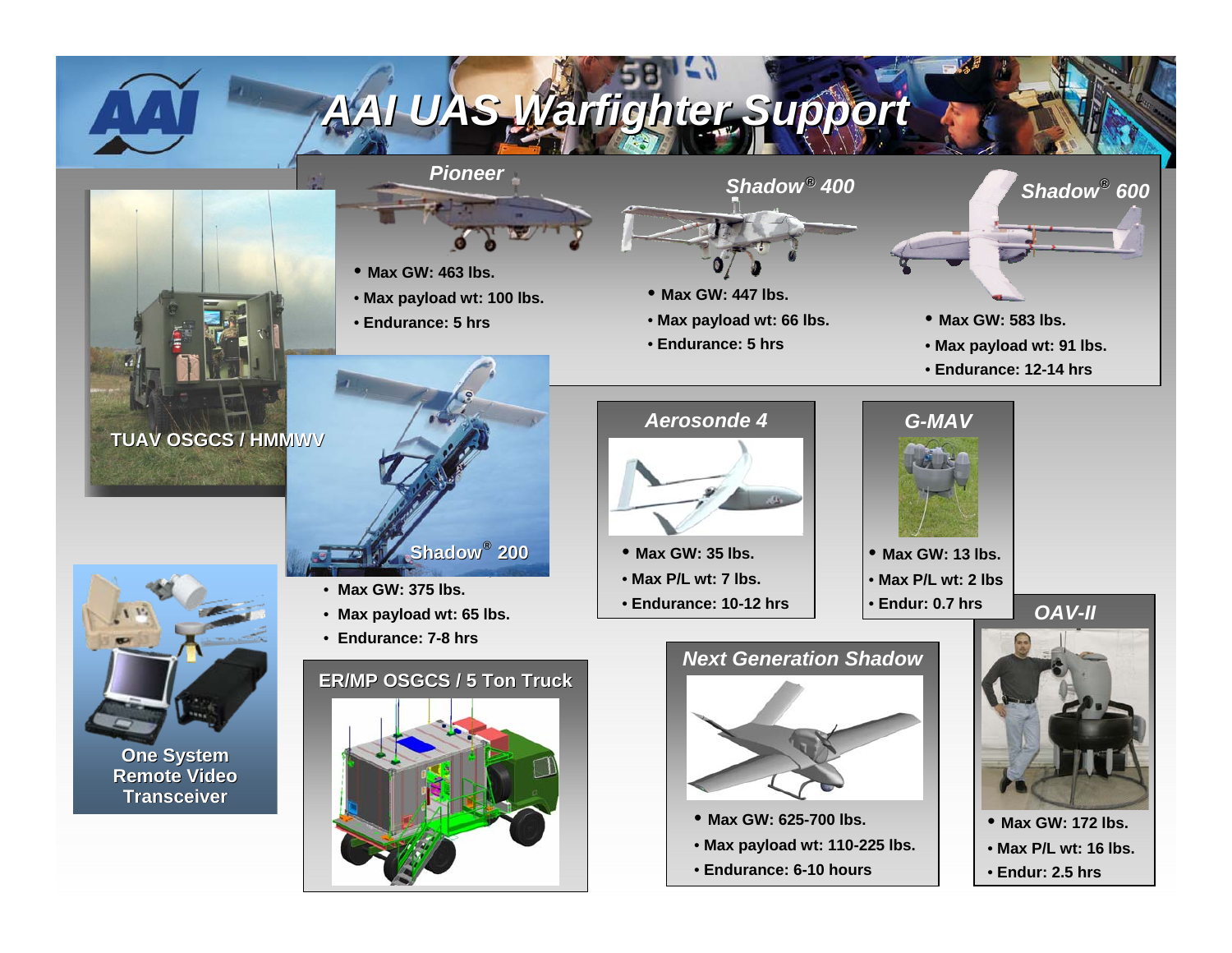

### *AAI UAS AAI UAS Warfighter Warfighter Support Support*

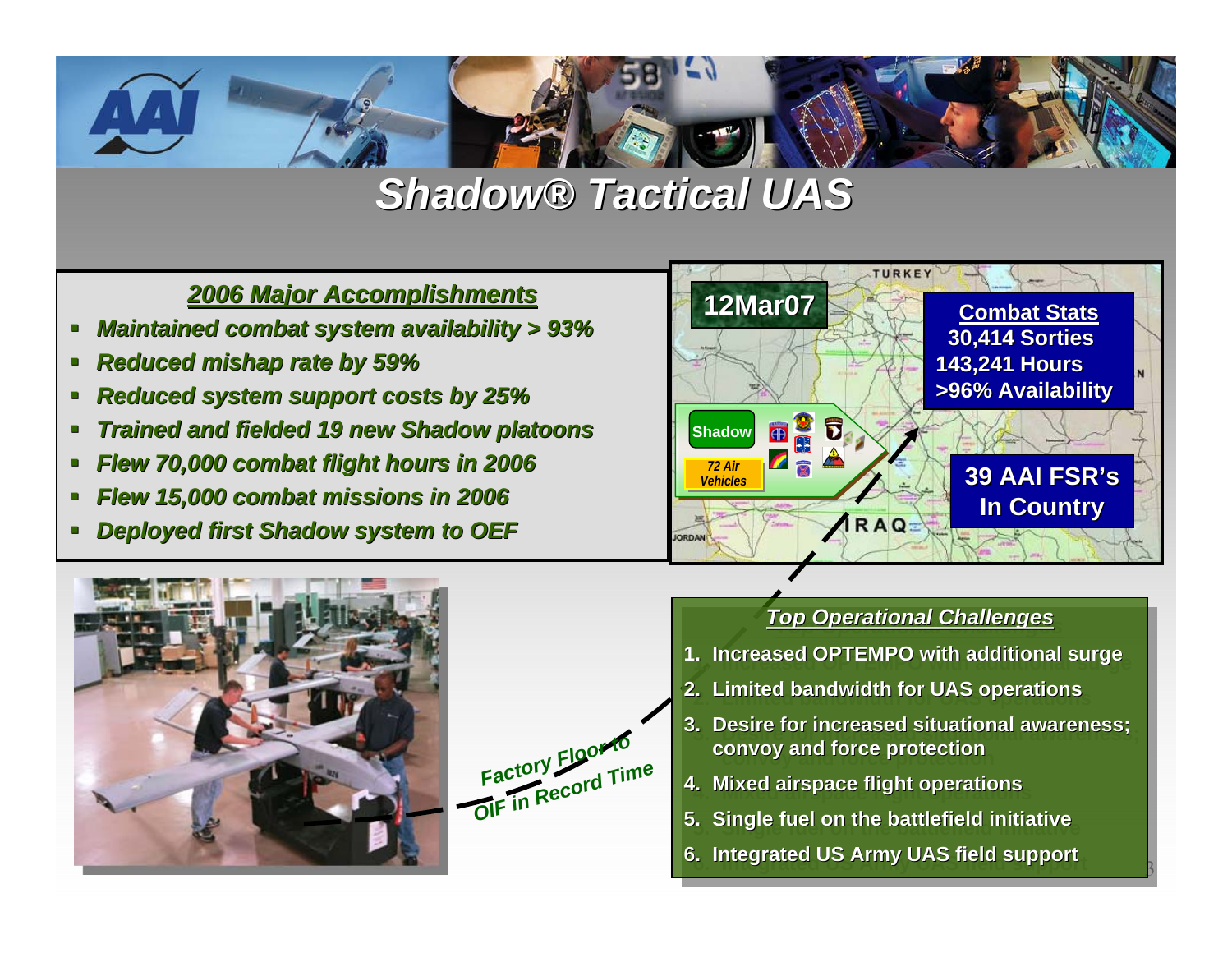

### *Shadow® Tactical UAS Tactical UAS*

#### *2006 Major Accomplishments 2006 Accomplishments*

- *Maintained combat system availability > 93%*
- *Reduced mishap rate by 59%*
- *Reduced system support costs by 25%*
- *Trained and fielded 19 new Shadow platoons Trained and fielded 19 new Shadow platoons*
- *Flew 70,000 combat flight hours in 2006 Flew 70,000 combat flight hours in 2006*
- *Flew 15,000 combat missions in 2006 Flew 15,000 combat missions in 2006*
- *Deployed first Shadow system to OEF Deployed first Shadow system to OEF*







### *Top Operational Challenges Top Operational Challenges Top Operational Challenges*

- **1. Increased OPTEMPO with additional surge 1. Increased OPTEMPO w Increased OPTEMPO with additional surge al surge**
- **2. Limited bandwidth for UAS operations**
- **3. Desire for increased situational awareness; 3. Desire for increased situational awareness; nal awareness; convoy and force protection convoy and force protection and force protection**

**B** 

- **4. Mixed airspace flight operations 4. Mixed airspace flight operations Mixed airspace flight operations**
- **5. Single fuel on the battlefield initiative 5. Single fuel on the ba Single fuel on the battlefield initiative ttlefield initiative**
- **6. Integrated US Army UAS field support 6. Integrated US Ar tegrated US Army UAS field sup UAS field support**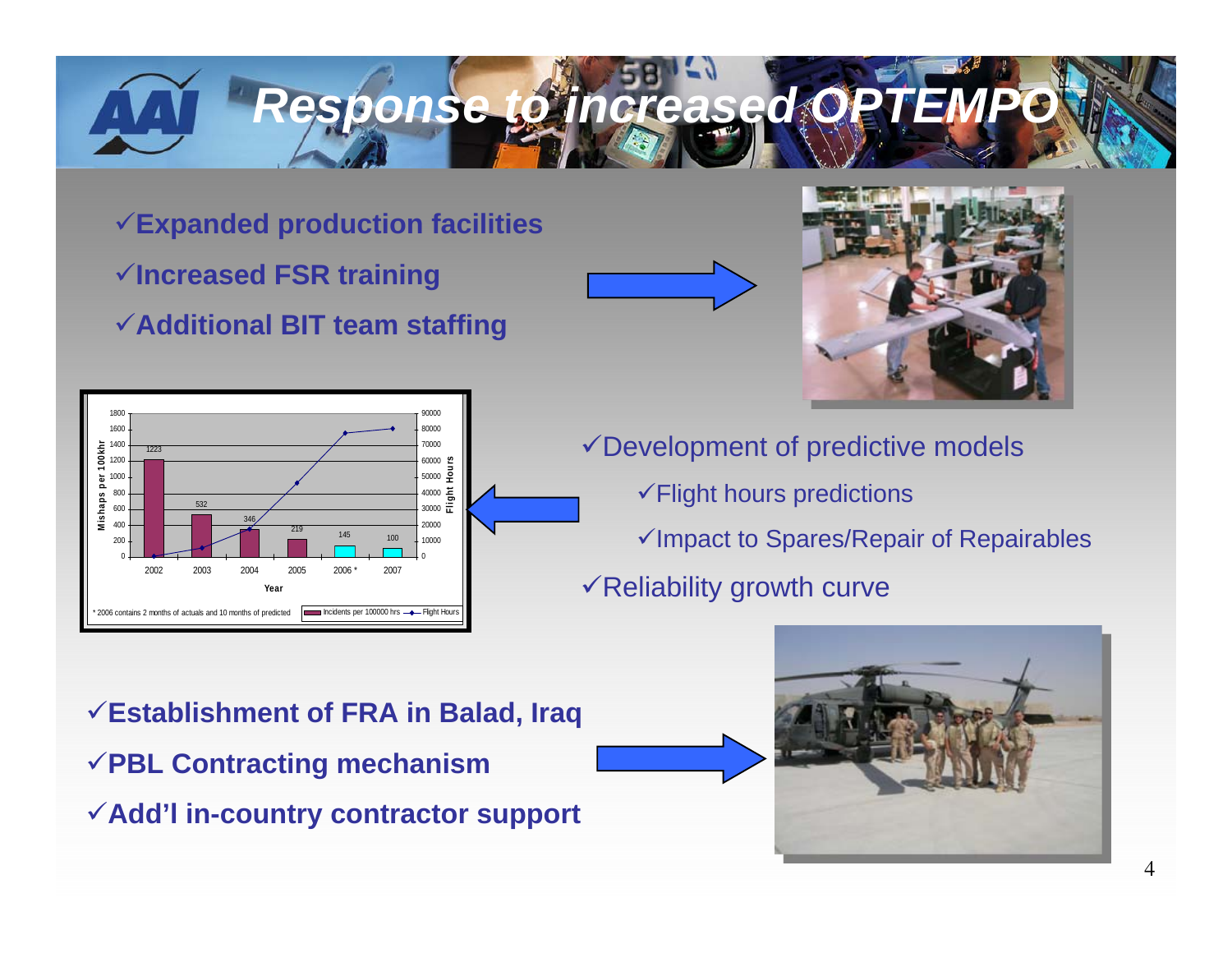# *Response to increased OPTEM*

**Expanded production facilities Increased FSR training Additional BIT team staffing**





 $\checkmark$  Development of predictive models  $\checkmark$  Flight hours predictions  $\checkmark$ Impact to Spares/Repair of Repairables  $\checkmark$  Reliability growth curve

**Establishment of FRA in Balad, Iraq PBL Contracting mechanism Add'l in-country contractor support**

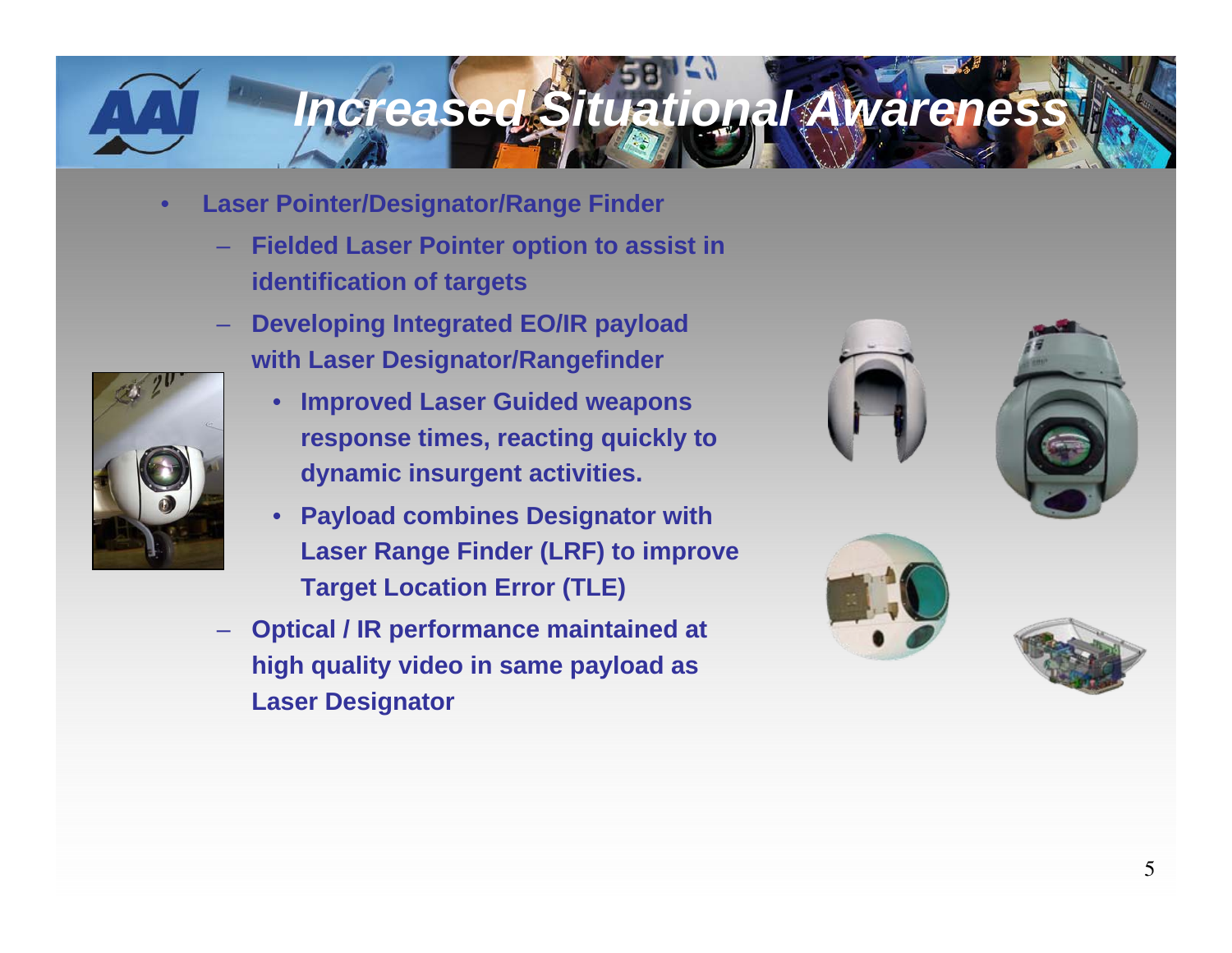## *Increased Situational Awareness*

- $\bullet$  **Laser Pointer/Designator/Range Finder**
	- **Fielded Laser Pointer option to assist in identification of targets**
	- **Developing Integrated EO/IR payload with Laser Designator/Rangefinder**



- • **Improved Laser Guided weapons response times, reacting quickly to dynamic insurgent activities.**
- • **Payload combines Designator with Laser Range Finder (LRF) to improve Target Location Error (TLE)**
- **Optical / IR performance maintained at high quality video in same payload as Laser Designator**







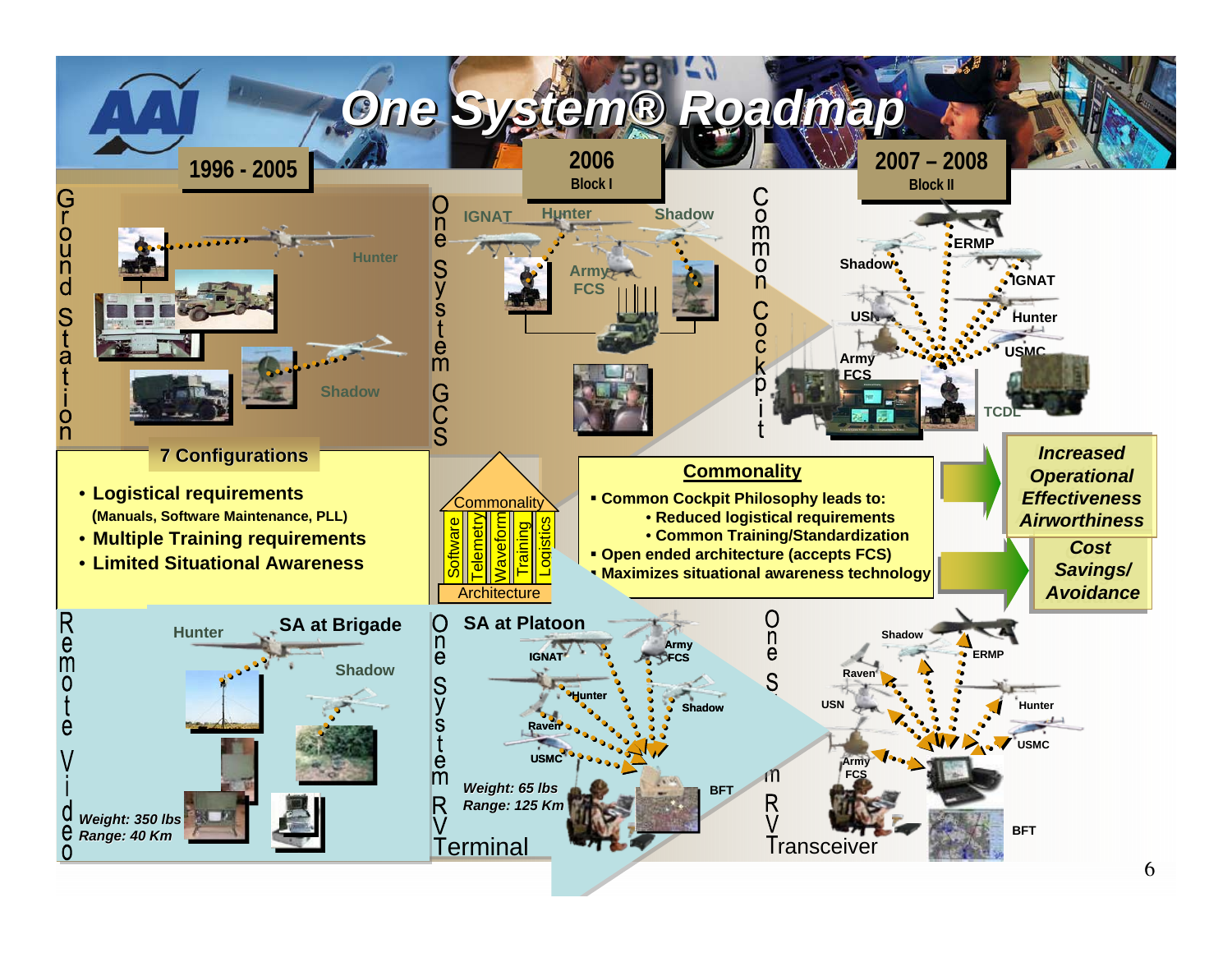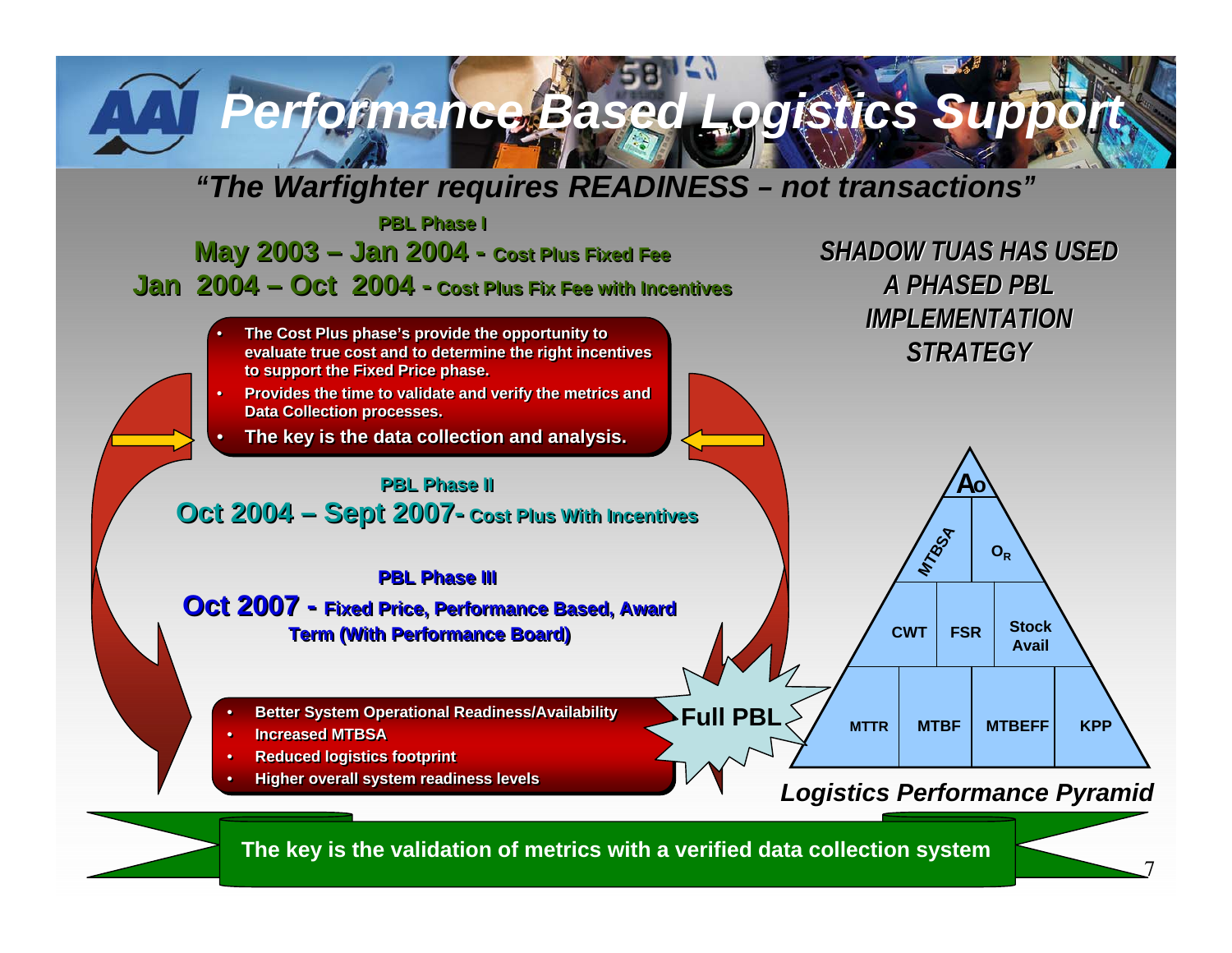## **Performance Based Logistics Support**

#### *"The Warfighter requires READINESS – not transactions"*

**PBL Phase IPBL Phase IMay 2003 – Jan 2004 - Cost Plus Fixed Fee May 2003 – Jan 2004 - Cost Plus Fixed Fee Jan 2004 – Oct 2004 - Cost Plus Fix Fee with Incentives Jan 2004 – Oct 2004 - Cost Plus Fix Fee with Incentives**



**The key is the validation of metrics with a verified data collection system**

7

*SHADOW TUAS HAS USED* 

*A PHASED PBL A PHASED PBL*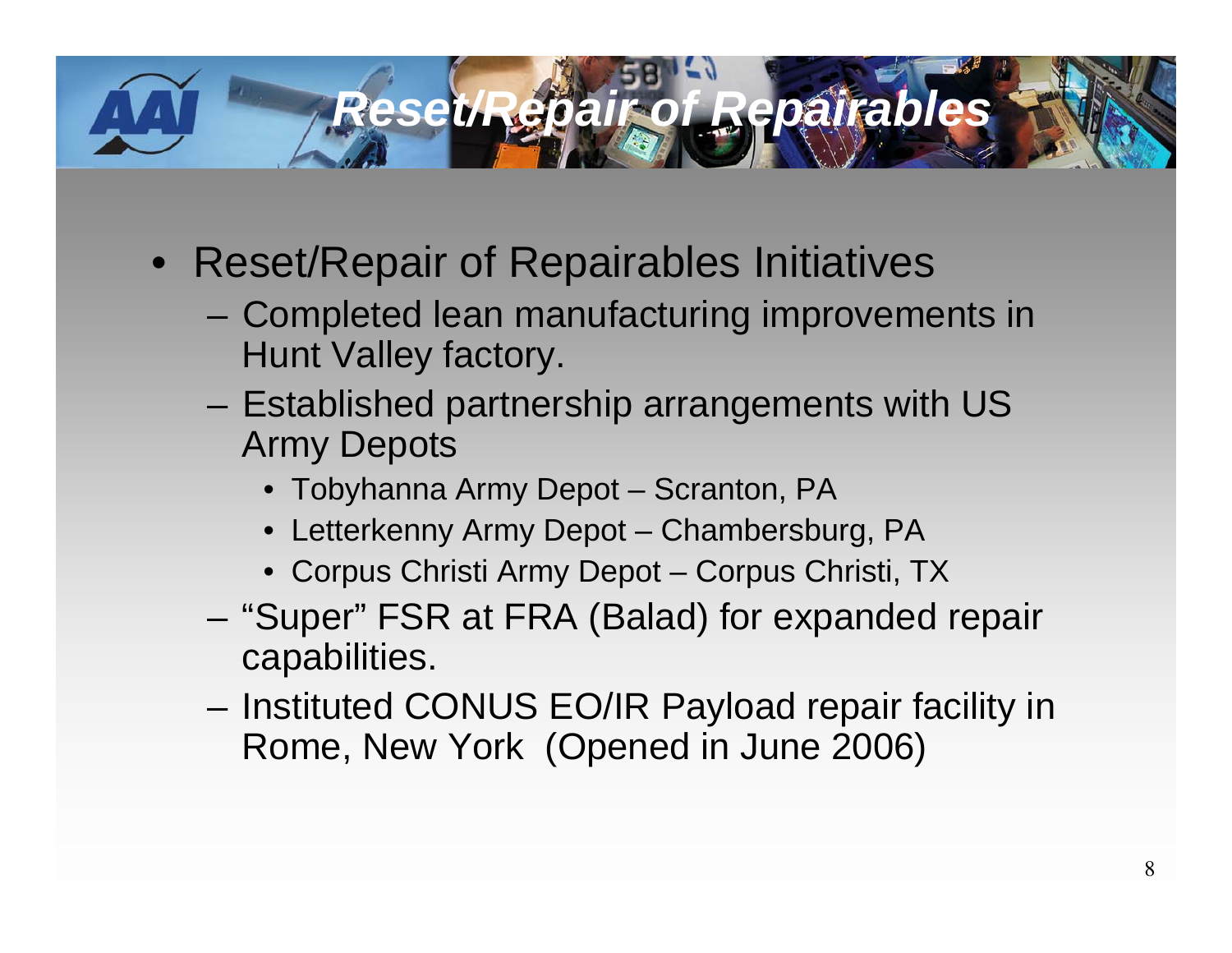### *Reset/Repair of Repairables*

- Reset/Repair of Repairables Initiatives
	- Completed lean manufacturing improvements in Hunt Valley factory.
	- – Established partnership arrangements with US Army Depots
		- Tobyhanna Army Depot Scranton, PA
		- Letterkenny Army Depot Chambersburg, PA
		- Corpus Christi Army Depot Corpus Christi, TX
	- – "Super" FSR at FRA (Balad) for expanded repair capabilities.
	- – Instituted CONUS EO/IR Payload repair facility in Rome, New York (Opened in June 2006)